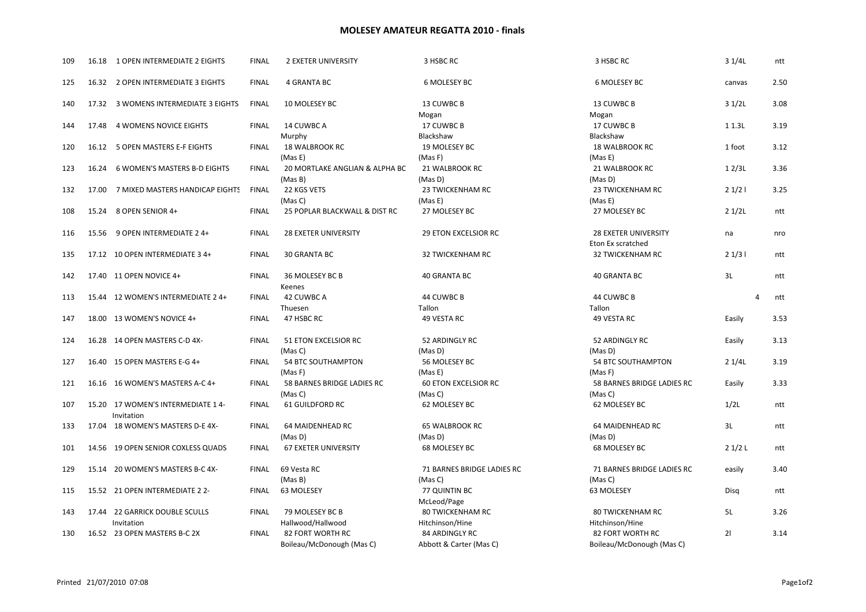## MOLESEY AMATEUR REGATTA 2010 - finals

| 109 | 16.18 | 1 OPEN INTERMEDIATE 2 EIGHTS                    | <b>FINAL</b> | <b>2 EXETER UNIVERSITY</b>                    | 3 HSBC RC                                        | 3 HSBC RC                                     | 31/4L       | ntt  |
|-----|-------|-------------------------------------------------|--------------|-----------------------------------------------|--------------------------------------------------|-----------------------------------------------|-------------|------|
| 125 |       | 16.32 2 OPEN INTERMEDIATE 3 EIGHTS              | <b>FINAL</b> | 4 GRANTA BC                                   | 6 MOLESEY BC                                     | 6 MOLESEY BC                                  | canvas      | 2.50 |
| 140 |       | 17.32 3 WOMENS INTERMEDIATE 3 EIGHTS            | <b>FINAL</b> | 10 MOLESEY BC                                 | 13 CUWBC B                                       | 13 CUWBC B                                    | 31/2L       | 3.08 |
| 144 | 17.48 | 4 WOMENS NOVICE EIGHTS                          | <b>FINAL</b> | 14 CUWBC A                                    | Mogan<br>17 CUWBC B                              | Mogan<br>17 CUWBC B                           | 1 1.3L      | 3.19 |
| 120 | 16.12 | 5 OPEN MASTERS E-F EIGHTS                       | <b>FINAL</b> | Murphy<br>18 WALBROOK RC                      | Blackshaw<br>19 MOLESEY BC                       | Blackshaw<br><b>18 WALBROOK RC</b>            | 1 foot      | 3.12 |
| 123 | 16.24 | <b>6 WOMEN'S MASTERS B-D EIGHTS</b>             | <b>FINAL</b> | (Mas E)<br>20 MORTLAKE ANGLIAN & ALPHA BC     | (Mas F)<br>21 WALBROOK RC                        | (Mas E)<br>21 WALBROOK RC                     | 12/3L       | 3.36 |
| 132 | 17.00 | 7 MIXED MASTERS HANDICAP EIGHTS                 | <b>FINAL</b> | (Mas B)<br>22 KGS VETS                        | (Mas D)<br>23 TWICKENHAM RC                      | (Mas D)<br>23 TWICKENHAM RC                   | 21/21       | 3.25 |
| 108 | 15.24 | 8 OPEN SENIOR 4+                                | <b>FINAL</b> | (Mas C)<br>25 POPLAR BLACKWALL & DIST RC      | (Mas E)<br>27 MOLESEY BC                         | (Mas E)<br>27 MOLESEY BC                      | 21/2L       | ntt  |
| 116 | 15.56 | 9 OPEN INTERMEDIATE 2 4+                        | <b>FINAL</b> | <b>28 EXETER UNIVERSITY</b>                   | <b>29 ETON EXCELSIOR RC</b>                      | <b>28 EXETER UNIVERSITY</b>                   | na          | nro  |
| 135 |       | 17.12 10 OPEN INTERMEDIATE 3 4+                 | <b>FINAL</b> | 30 GRANTA BC                                  | <b>32 TWICKENHAM RC</b>                          | Eton Ex scratched<br><b>32 TWICKENHAM RC</b>  | 21/31       | ntt  |
| 142 |       | 17.40 11 OPEN NOVICE 4+                         | <b>FINAL</b> | 36 MOLESEY BC B<br>Keenes                     | <b>40 GRANTA BC</b>                              | <b>40 GRANTA BC</b>                           | 3L          | ntt  |
| 113 |       | 15.44 12 WOMEN'S INTERMEDIATE 2 4+              | <b>FINAL</b> | 42 CUWBC A<br>Thuesen                         | 44 CUWBC B<br>Tallon                             | 44 CUWBC B<br>Tallon                          | 4           | ntt  |
| 147 |       | 18.00 13 WOMEN'S NOVICE 4+                      | <b>FINAL</b> | 47 HSBC RC                                    | 49 VESTA RC                                      | 49 VESTA RC                                   | Easily      | 3.53 |
| 124 |       | 16.28 14 OPEN MASTERS C-D 4X-                   | <b>FINAL</b> | 51 ETON EXCELSIOR RC<br>(Mas C)               | 52 ARDINGLY RC<br>(Mas D)                        | 52 ARDINGLY RC<br>(Mas D)                     | Easily      | 3.13 |
| 127 |       | 16.40 15 OPEN MASTERS E-G 4+                    | <b>FINAL</b> | 54 BTC SOUTHAMPTON<br>(Mas F)                 | 56 MOLESEY BC<br>(Mas E)                         | <b>54 BTC SOUTHAMPTON</b><br>(Mas F)          | 21/4L       | 3.19 |
| 121 |       | 16.16 16 WOMEN'S MASTERS A-C 4+                 | <b>FINAL</b> | 58 BARNES BRIDGE LADIES RC<br>(Mas C)         | <b>60 ETON EXCELSIOR RC</b><br>(Mas C)           | 58 BARNES BRIDGE LADIES RC<br>(Mas C)         | Easily      | 3.33 |
| 107 |       | 15.20 17 WOMEN'S INTERMEDIATE 14-<br>Invitation | <b>FINAL</b> | <b>61 GUILDFORD RC</b>                        | 62 MOLESEY BC                                    | 62 MOLESEY BC                                 | 1/2L        | ntt  |
| 133 |       | 17.04 18 WOMEN'S MASTERS D-E 4X-                | <b>FINAL</b> | 64 MAIDENHEAD RC<br>(Mas D)                   | <b>65 WALBROOK RC</b><br>(Mas D)                 | 64 MAIDENHEAD RC<br>(Mas D)                   | 3L          | ntt  |
| 101 |       | 14.56 19 OPEN SENIOR COXLESS QUADS              | <b>FINAL</b> | <b>67 EXETER UNIVERSITY</b>                   | 68 MOLESEY BC                                    | 68 MOLESEY BC                                 | 21/2L       | ntt  |
| 129 |       | 15.14 20 WOMEN'S MASTERS B-C 4X-                | <b>FINAL</b> | 69 Vesta RC<br>(Mas B)                        | 71 BARNES BRIDGE LADIES RC<br>(Mas C)            | 71 BARNES BRIDGE LADIES RC<br>(Mas C)         | easily      | 3.40 |
| 115 |       | 15.52 21 OPEN INTERMEDIATE 2 2-                 | <b>FINAL</b> | 63 MOLESEY                                    | 77 QUINTIN BC<br>McLeod/Page                     | 63 MOLESEY                                    | <b>Disa</b> | ntt  |
| 143 |       | 17.44 22 GARRICK DOUBLE SCULLS<br>Invitation    | <b>FINAL</b> | 79 MOLESEY BC B<br>Hallwood/Hallwood          | <b>80 TWICKENHAM RC</b><br>Hitchinson/Hine       | <b>80 TWICKENHAM RC</b><br>Hitchinson/Hine    | 5L          | 3.26 |
| 130 |       | 16.52 23 OPEN MASTERS B-C 2X                    | <b>FINAL</b> | 82 FORT WORTH RC<br>Boileau/McDonough (Mas C) | <b>84 ARDINGLY RC</b><br>Abbott & Carter (Mas C) | 82 FORT WORTH RC<br>Boileau/McDonough (Mas C) | 21          | 3.14 |